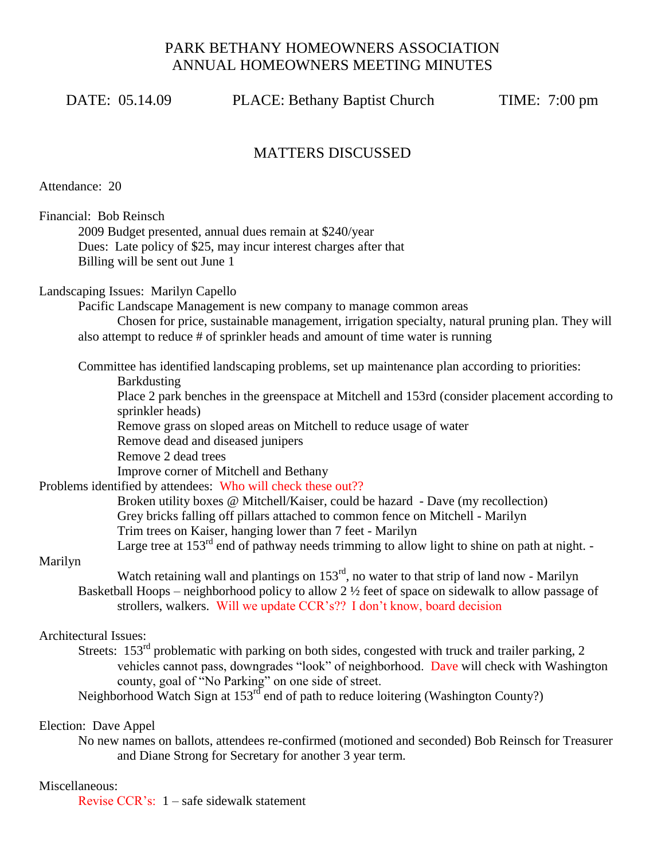# PARK BETHANY HOMEOWNERS ASSOCIATION ANNUAL HOMEOWNERS MEETING MINUTES

DATE: 05.14.09 PLACE: Bethany Baptist Church TIME: 7:00 pm

## MATTERS DISCUSSED

Attendance: 20

Financial: Bob Reinsch 2009 Budget presented, annual dues remain at \$240/year Dues: Late policy of \$25, may incur interest charges after that Billing will be sent out June 1

Landscaping Issues: Marilyn Capello

Pacific Landscape Management is new company to manage common areas Chosen for price, sustainable management, irrigation specialty, natural pruning plan. They will also attempt to reduce # of sprinkler heads and amount of time water is running

Committee has identified landscaping problems, set up maintenance plan according to priorities:

Barkdusting

Place 2 park benches in the greenspace at Mitchell and 153rd (consider placement according to sprinkler heads)

Remove grass on sloped areas on Mitchell to reduce usage of water

Remove dead and diseased junipers

Remove 2 dead trees

Improve corner of Mitchell and Bethany

Problems identified by attendees: Who will check these out??

Broken utility boxes @ Mitchell/Kaiser, could be hazard - Dave (my recollection) Grey bricks falling off pillars attached to common fence on Mitchell - Marilyn Trim trees on Kaiser, hanging lower than 7 feet - Marilyn Large tree at  $153<sup>rd</sup>$  end of pathway needs trimming to allow light to shine on path at night. -

### Marilyn

Watch retaining wall and plantings on 153rd, no water to that strip of land now - Marilyn Basketball Hoops – neighborhood policy to allow 2 ½ feet of space on sidewalk to allow passage of strollers, walkers. Will we update CCR"s?? I don"t know, board decision

### Architectural Issues:

Streets: 153<sup>rd</sup> problematic with parking on both sides, congested with truck and trailer parking, 2 vehicles cannot pass, downgrades "look" of neighborhood. Dave will check with Washington county, goal of "No Parking" on one side of street.

Neighborhood Watch Sign at 153<sup>rd</sup> end of path to reduce loitering (Washington County?)

### Election: Dave Appel

No new names on ballots, attendees re-confirmed (motioned and seconded) Bob Reinsch for Treasurer and Diane Strong for Secretary for another 3 year term.

### Miscellaneous:

Revise CCR"s: 1 – safe sidewalk statement